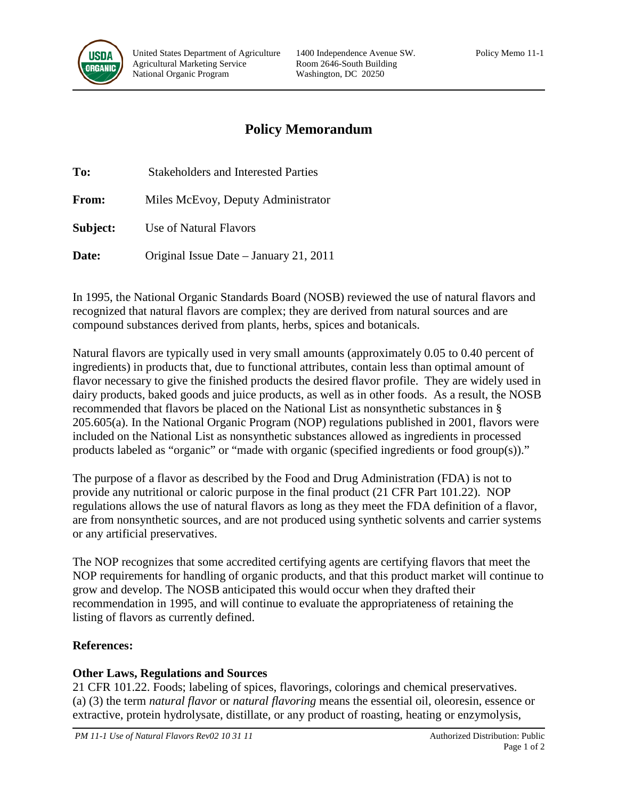

# **Policy Memorandum**

**To:** Stakeholders and Interested Parties **From:** Miles McEvoy, Deputy Administrator **Subject:** Use of Natural Flavors

**Date:** Original Issue Date – January 21, 2011

In 1995, the National Organic Standards Board (NOSB) reviewed the use of natural flavors and recognized that natural flavors are complex; they are derived from natural sources and are compound substances derived from plants, herbs, spices and botanicals.

Natural flavors are typically used in very small amounts (approximately 0.05 to 0.40 percent of ingredients) in products that, due to functional attributes, contain less than optimal amount of flavor necessary to give the finished products the desired flavor profile. They are widely used in dairy products, baked goods and juice products, as well as in other foods. As a result, the NOSB recommended that flavors be placed on the National List as nonsynthetic substances in § 205.605(a). In the National Organic Program (NOP) regulations published in 2001, flavors were included on the National List as nonsynthetic substances allowed as ingredients in processed products labeled as "organic" or "made with organic (specified ingredients or food group(s))."

The purpose of a flavor as described by the Food and Drug Administration (FDA) is not to provide any nutritional or caloric purpose in the final product (21 CFR Part 101.22). NOP regulations allows the use of natural flavors as long as they meet the FDA definition of a flavor, are from nonsynthetic sources, and are not produced using synthetic solvents and carrier systems or any artificial preservatives.

The NOP recognizes that some accredited certifying agents are certifying flavors that meet the NOP requirements for handling of organic products, and that this product market will continue to grow and develop. The NOSB anticipated this would occur when they drafted their recommendation in 1995, and will continue to evaluate the appropriateness of retaining the listing of flavors as currently defined.

## **References:**

## **Other Laws, Regulations and Sources**

21 CFR 101.22. Foods; labeling of spices, flavorings, colorings and chemical preservatives. (a) (3) the term *natural flavor* or *natural flavoring* means the essential oil, oleoresin, essence or extractive, protein hydrolysate, distillate, or any product of roasting, heating or enzymolysis,